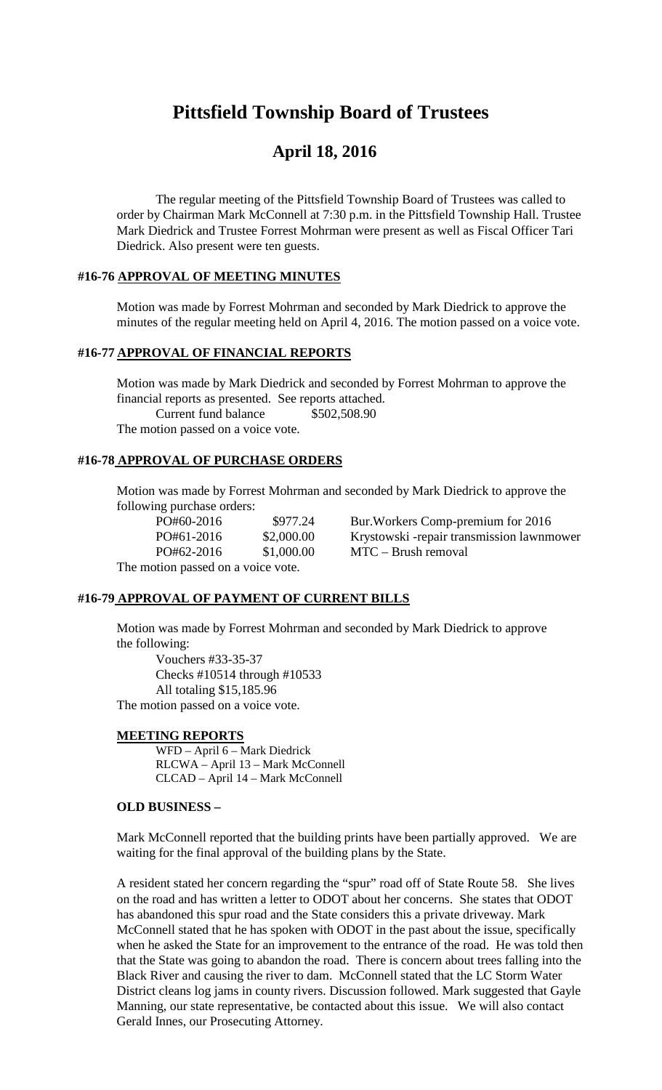# **Pittsfield Township Board of Trustees**

## **April 18, 2016**

The regular meeting of the Pittsfield Township Board of Trustees was called to order by Chairman Mark McConnell at 7:30 p.m. in the Pittsfield Township Hall. Trustee Mark Diedrick and Trustee Forrest Mohrman were present as well as Fiscal Officer Tari Diedrick. Also present were ten guests.

#### **#16-76 APPROVAL OF MEETING MINUTES**

Motion was made by Forrest Mohrman and seconded by Mark Diedrick to approve the minutes of the regular meeting held on April 4, 2016. The motion passed on a voice vote.

## **#16-77 APPROVAL OF FINANCIAL REPORTS**

Motion was made by Mark Diedrick and seconded by Forrest Mohrman to approve the financial reports as presented. See reports attached. Current fund balance \$502,508.90 The motion passed on a voice vote.

#### **#16-78 APPROVAL OF PURCHASE ORDERS**

Motion was made by Forrest Mohrman and seconded by Mark Diedrick to approve the following purchase orders:

| PO#60-2016                                 | \$977.24   | Bur. Workers Comp-pre   |
|--------------------------------------------|------------|-------------------------|
| PO#61-2016                                 | \$2,000.00 | Krystowski -repair tran |
| PO#62-2016                                 | \$1,000.00 | $MTC - Brush$ removal   |
| $\mathbf{r}$ , and the set of $\mathbf{r}$ |            |                         |

PO#60-2016 \$977.24 Bur.Workers Comp-premium for 2016 PO#61-2016 \$2,000.00 Krystowski -repair transmission lawnmower

The motion passed on a voice vote.

## **#16-79 APPROVAL OF PAYMENT OF CURRENT BILLS**

Motion was made by Forrest Mohrman and seconded by Mark Diedrick to approve the following:

Vouchers #33-35-37 Checks #10514 through #10533 All totaling \$15,185.96 The motion passed on a voice vote.

#### **MEETING REPORTS**

WFD – April 6 – Mark Diedrick RLCWA – April 13 – Mark McConnell CLCAD – April 14 – Mark McConnell

#### **OLD BUSINESS –**

Mark McConnell reported that the building prints have been partially approved. We are waiting for the final approval of the building plans by the State.

A resident stated her concern regarding the "spur" road off of State Route 58. She lives on the road and has written a letter to ODOT about her concerns. She states that ODOT has abandoned this spur road and the State considers this a private driveway. Mark McConnell stated that he has spoken with ODOT in the past about the issue, specifically when he asked the State for an improvement to the entrance of the road. He was told then that the State was going to abandon the road. There is concern about trees falling into the Black River and causing the river to dam. McConnell stated that the LC Storm Water District cleans log jams in county rivers. Discussion followed. Mark suggested that Gayle Manning, our state representative, be contacted about this issue. We will also contact Gerald Innes, our Prosecuting Attorney.